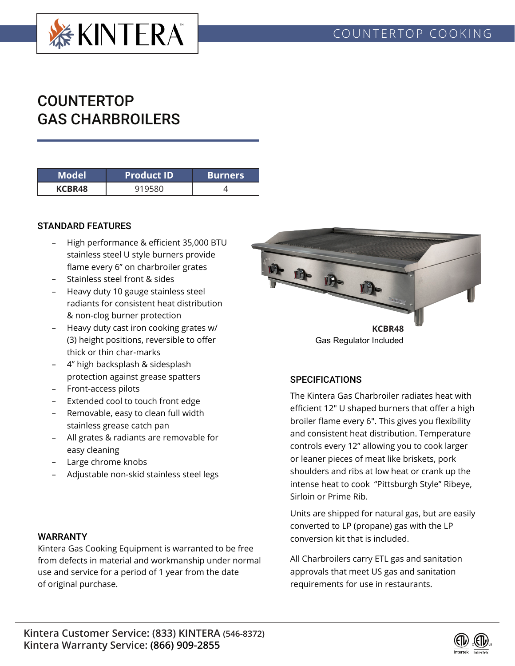

# COUNTERTOP GAS CHARBROILERS

| Model  | <b>Product ID</b> | <b>Burners</b> |
|--------|-------------------|----------------|
| KCBR48 |                   |                |

### STANDARD FEATURES

- High performance & efficient 35,000 BTU stainless steel U style burners provide flame every 6" on charbroiler grates
- Stainless steel front & sides
- Heavy duty 10 gauge stainless steel radiants for consistent heat distribution & non-clog burner protection
- Heavy duty cast iron cooking grates w/ (3) height positions, reversible to offer thick or thin char-marks
- 4" high backsplash & sidesplash protection against grease spatters
- Front-access pilots
- Extended cool to touch front edge
- Removable, easy to clean full width stainless grease catch pan
- All grates & radiants are removable for easy cleaning
- Large chrome knobs
- Adjustable non-skid stainless steel legs

#### WARRANTY

Kintera Gas Cooking Equipment is warranted to be free from defects in material and workmanship under normal use and service for a period of 1 year from the date of original purchase.



# **SPECIFICATIONS**

The Kintera Gas Charbroiler radiates heat with efficient 12" U shaped burners that offer a high broiler flame every 6". This gives you flexibility and consistent heat distribution. Temperature controls every 12" allowing you to cook larger or leaner pieces of meat like briskets, pork shoulders and ribs at low heat or crank up the intense heat to cook "Pittsburgh Style" Ribeye, Sirloin or Prime Rib.

Units are shipped for natural gas, but are easily converted to LP (propane) gas with the LP conversion kit that is included.

All Charbroilers carry ETL gas and sanitation approvals that meet US gas and sanitation requirements for use in restaurants.